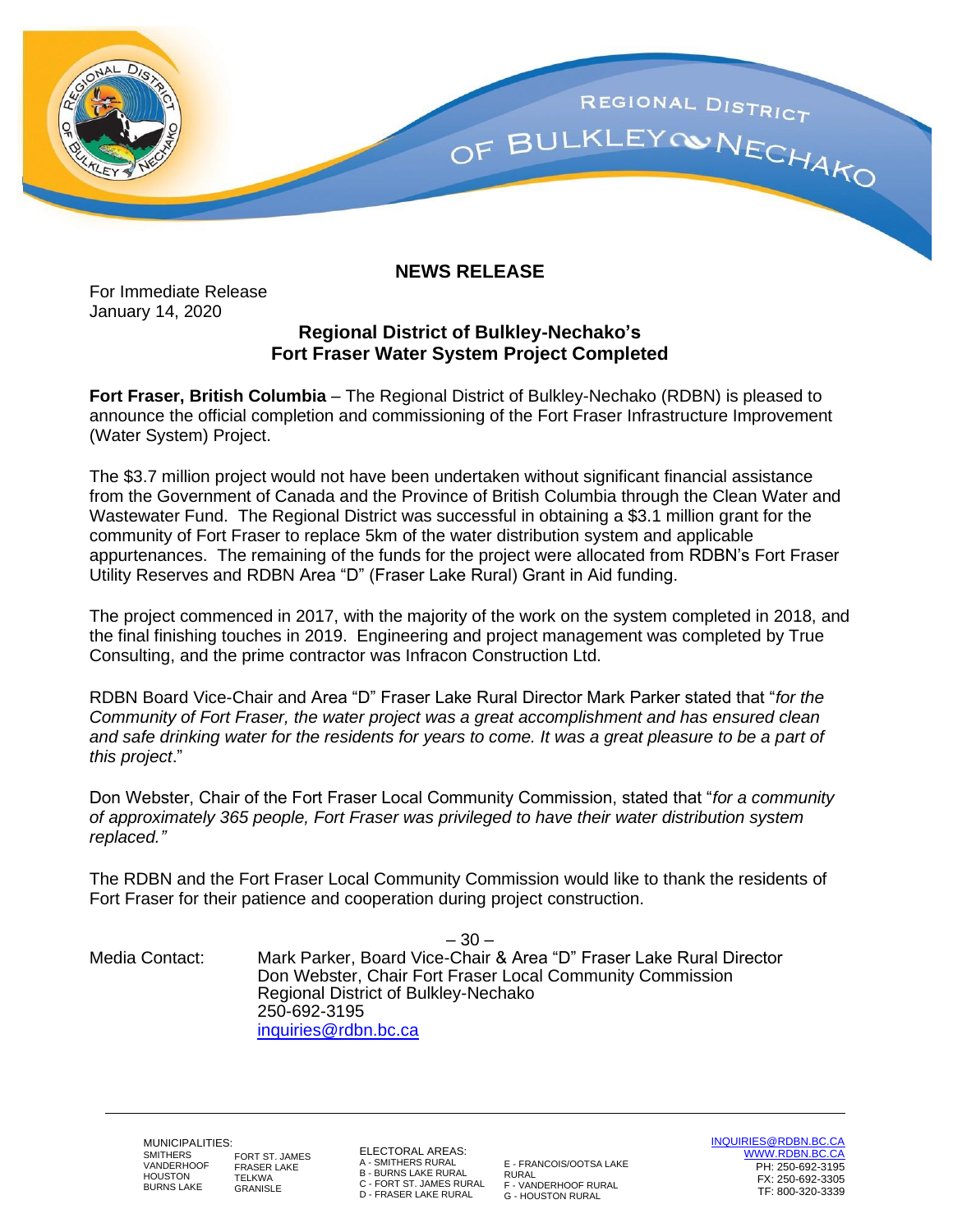

## **NEWS RELEASE**

For Immediate Release January 14, 2020

## **Regional District of Bulkley-Nechako's Fort Fraser Water System Project Completed**

**Fort Fraser, British Columbia** – The Regional District of Bulkley-Nechako (RDBN) is pleased to announce the official completion and commissioning of the Fort Fraser Infrastructure Improvement (Water System) Project.

The \$3.7 million project would not have been undertaken without significant financial assistance from the Government of Canada and the Province of British Columbia through the Clean Water and Wastewater Fund. The Regional District was successful in obtaining a \$3.1 million grant for the community of Fort Fraser to replace 5km of the water distribution system and applicable appurtenances. The remaining of the funds for the project were allocated from RDBN's Fort Fraser Utility Reserves and RDBN Area "D" (Fraser Lake Rural) Grant in Aid funding.

The project commenced in 2017, with the majority of the work on the system completed in 2018, and the final finishing touches in 2019. Engineering and project management was completed by True Consulting, and the prime contractor was Infracon Construction Ltd.

RDBN Board Vice-Chair and Area "D" Fraser Lake Rural Director Mark Parker stated that "*for the Community of Fort Fraser, the water project was a great accomplishment and has ensured clean and safe drinking water for the residents for years to come. It was a great pleasure to be a part of this project*."

Don Webster, Chair of the Fort Fraser Local Community Commission, stated that "*for a community of approximately 365 people, Fort Fraser was privileged to have their water distribution system replaced."*

The RDBN and the Fort Fraser Local Community Commission would like to thank the residents of Fort Fraser for their patience and cooperation during project construction.

– 30 – Media Contact: Mark Parker, Board Vice-Chair & Area "D" Fraser Lake Rural Director Don Webster, Chair Fort Fraser Local Community Commission Regional District of Bulkley-Nechako 250-692-3195 [inquiries@rdbn.bc.ca](mailto:inquiries@rdbn.bc.ca)

MUNICIPALITIES: SMITHERS **VANDERHOOF** HOUSTON BURNS LAKE **TELKWA** GRANISLE

FORT ST. JAMES FRASER LAKE

ELECTORAL AREAS: A - SMITHERS RURAL B - BURNS LAKE RURAL C - FORT ST. JAMES RURAL D - FRASER LAKE RURAL

E - FRANCOIS/OOTSA LAKE RURAL F - VANDERHOOF RURAL G - HOUSTON RURAL

[INQUIRIES@RDBN.BC.CA](mailto:INQUIRIES@RDBN.BC.CA) [WWW.RDBN.BC.CA](http://www.rdbn.bc.ca/) PH: 250-692-3195 FX: 250-692-3305 TF: 800-320-3339